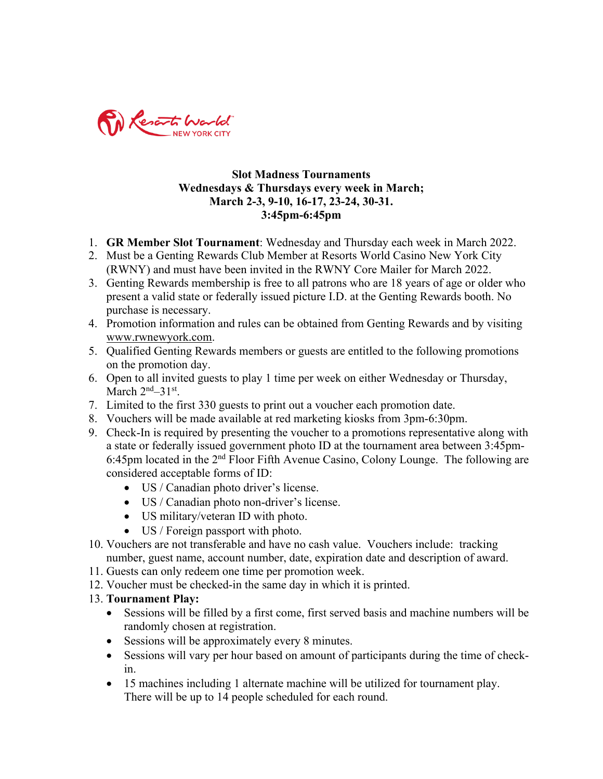

## **Slot Madness Tournaments Wednesdays & Thursdays every week in March; March 2-3, 9-10, 16-17, 23-24, 30-31. 3:45pm-6:45pm**

- 1. **GR Member Slot Tournament**: Wednesday and Thursday each week in March 2022.
- 2. Must be a Genting Rewards Club Member at Resorts World Casino New York City (RWNY) and must have been invited in the RWNY Core Mailer for March 2022.
- 3. Genting Rewards membership is free to all patrons who are 18 years of age or older who present a valid state or federally issued picture I.D. at the Genting Rewards booth. No purchase is necessary.
- 4. Promotion information and rules can be obtained from Genting Rewards and by visiting www.rwnewyork.com.
- 5. Qualified Genting Rewards members or guests are entitled to the following promotions on the promotion day.
- 6. Open to all invited guests to play 1 time per week on either Wednesday or Thursday, March  $2<sup>nd</sup> - 31<sup>st</sup>$ .
- 7. Limited to the first 330 guests to print out a voucher each promotion date.
- 8. Vouchers will be made available at red marketing kiosks from 3pm-6:30pm.
- 9. Check-In is required by presenting the voucher to a promotions representative along with a state or federally issued government photo ID at the tournament area between 3:45pm-6:45pm located in the 2nd Floor Fifth Avenue Casino, Colony Lounge. The following are considered acceptable forms of ID:
	- US / Canadian photo driver's license.
	- US / Canadian photo non-driver's license.
	- US military/veteran ID with photo.
	- US / Foreign passport with photo.
- 10. Vouchers are not transferable and have no cash value. Vouchers include: tracking number, guest name, account number, date, expiration date and description of award.
- 11. Guests can only redeem one time per promotion week.
- 12. Voucher must be checked-in the same day in which it is printed.
- 13. **Tournament Play:**
	- Sessions will be filled by a first come, first served basis and machine numbers will be randomly chosen at registration.
	- Sessions will be approximately every 8 minutes.
	- Sessions will vary per hour based on amount of participants during the time of checkin.
	- 15 machines including 1 alternate machine will be utilized for tournament play. There will be up to 14 people scheduled for each round.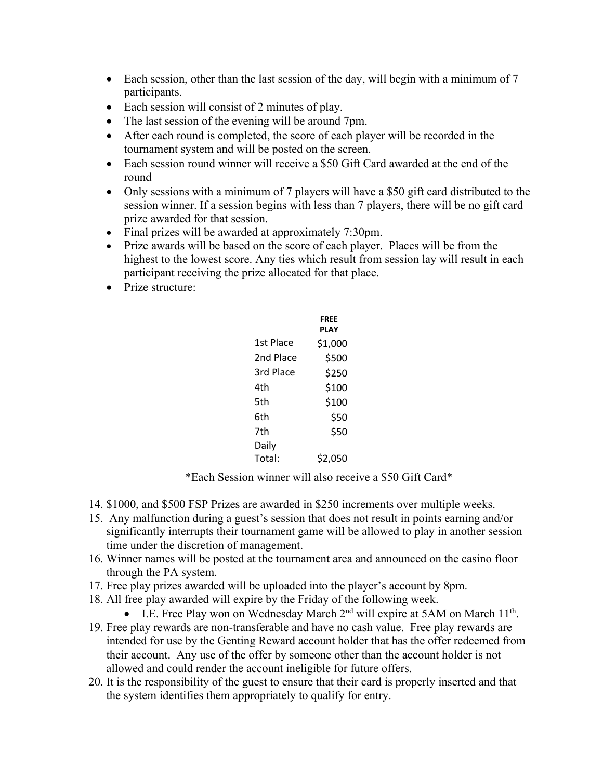- Each session, other than the last session of the day, will begin with a minimum of 7 participants.
- Each session will consist of 2 minutes of play.
- The last session of the evening will be around 7pm.
- After each round is completed, the score of each player will be recorded in the tournament system and will be posted on the screen.
- Each session round winner will receive a \$50 Gift Card awarded at the end of the round
- Only sessions with a minimum of 7 players will have a \$50 gift card distributed to the session winner. If a session begins with less than 7 players, there will be no gift card prize awarded for that session.
- Final prizes will be awarded at approximately 7:30pm.
- Prize awards will be based on the score of each player. Places will be from the highest to the lowest score. Any ties which result from session lay will result in each participant receiving the prize allocated for that place.
- Prize structure:

|           | FREE<br>PLAY |
|-----------|--------------|
| 1st Place | \$1,000      |
| 2nd Place | \$500        |
| 3rd Place | \$250        |
| 4th       | \$100        |
| 5th       | \$100        |
| 6th       | \$50         |
| 7th       | \$50         |
| Daily     |              |
| Total:    | \$2,050      |

\*Each Session winner will also receive a \$50 Gift Card\*

- 14. \$1000, and \$500 FSP Prizes are awarded in \$250 increments over multiple weeks.
- 15. Any malfunction during a guest's session that does not result in points earning and/or significantly interrupts their tournament game will be allowed to play in another session time under the discretion of management.
- 16. Winner names will be posted at the tournament area and announced on the casino floor through the PA system.
- 17. Free play prizes awarded will be uploaded into the player's account by 8pm.
- 18. All free play awarded will expire by the Friday of the following week.
	- I.E. Free Play won on Wednesday March  $2<sup>nd</sup>$  will expire at 5AM on March  $11<sup>th</sup>$ .
- 19. Free play rewards are non-transferable and have no cash value. Free play rewards are intended for use by the Genting Reward account holder that has the offer redeemed from their account. Any use of the offer by someone other than the account holder is not allowed and could render the account ineligible for future offers.
- 20. It is the responsibility of the guest to ensure that their card is properly inserted and that the system identifies them appropriately to qualify for entry.